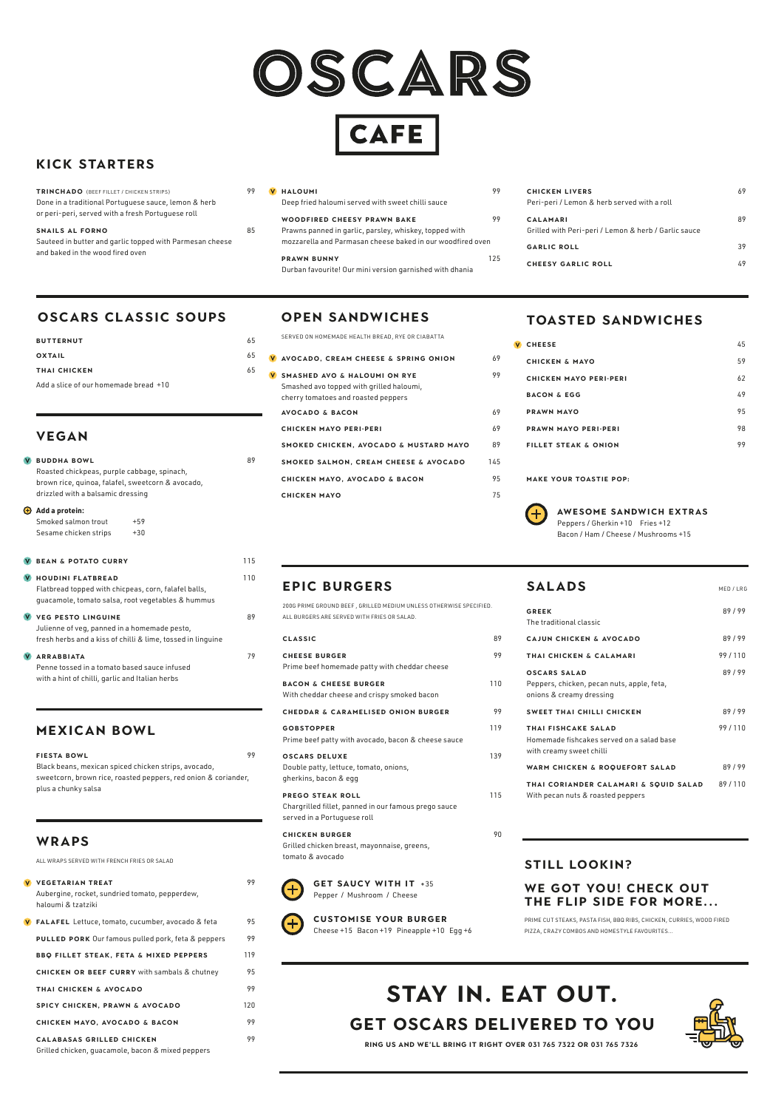

**CAFE** 

| THAI FISHCAKE SALAD                       | 99/110 |
|-------------------------------------------|--------|
| Homemade fishcakes served on a salad base |        |
| with creamy sweet chilli                  |        |
| WARM CHICKEN & ROQUEFORT SALAD            | 89/99  |
| THAI CODIANDED CALAMADI & SOIIID SALAD    | 89/110 |

**THAI CORIANDER CALAMARI & SQUID SALAD** 89 / 110 With pecan nuts & roasted peppers

## **EPIC BURGERS**

**GET SAUCY WITH IT +35** Pepper / Mushroom / Cheese



| 200G PRIME GROUND BEEF, GRILLED MEDIUM UNLESS OTHERWISE SPECIFIED.                                             |     |
|----------------------------------------------------------------------------------------------------------------|-----|
| ALL BURGERS ARE SERVED WITH FRIES OR SALAD.                                                                    |     |
| <b>CLASSIC</b>                                                                                                 | 89  |
| <b>CHEESE BURGER</b><br>Prime beef homemade patty with cheddar cheese                                          | 99  |
| <b>BACON &amp; CHEESE BURGER</b><br>With cheddar cheese and crispy smoked bacon                                | 110 |
| <b>CHEDDAR &amp; CARAMELISED ONION BURGER</b>                                                                  | 99  |
| <b>GOBSTOPPER</b><br>Prime beef patty with avocado, bacon & cheese sauce                                       | 119 |
| <b>OSCARS DELUXE</b><br>Double patty, lettuce, tomato, onions,<br>gherkins, bacon & egg                        | 139 |
| <b>PREGO STEAK ROLL</b><br>Chargrilled fillet, panned in our famous prego sauce<br>served in a Portuguese roll | 115 |
| <b>CHICKEN BURGER</b>                                                                                          | 90  |

# SALADS
MED/LRG **GREEK** 89 / 99 The traditional classic **CAJUN CHICKEN & AVOCADO** 89/99 **THAI CHICKEN & CALAMARI** 99/110 **OSCARS SALAD** 89 / 99 Peppers, chicken, pecan nuts, apple, feta, onions & creamy dressing **SWEET THAI CHILLI CHICKEN** 89 / 99

Grilled chicken breast, mayonnaise, greens, tomato & avocado



### **CUSTOMISE YOUR BURGER** Cheese +15 Bacon +19 Pineapple +10 Egg +6

# **VEGAN**

| $\mathbf{V}$ | <b>BUDDHA BOWL</b><br>Roasted chickpeas, purple cabbage, spinach,<br>brown rice, quinoa, falafel, sweetcorn & avocado,<br>drizzled with a balsamic dressing | 89  |  |
|--------------|-------------------------------------------------------------------------------------------------------------------------------------------------------------|-----|--|
|              | $\bigoplus$ Add a protein:<br>Smoked salmon trout<br>$+59$<br>Sesame chicken strips<br>$+30$                                                                |     |  |
|              | <b>V BEAN &amp; POTATO CURRY</b>                                                                                                                            | 115 |  |
| <b>V</b>     | <b>HOUDINI FLATBREAD</b><br>Flatbread topped with chicpeas, corn, falafel balls,<br>guacamole, tomato salsa, root vegetables & hummus                       | 110 |  |
| V.           | <b>VEG PESTO LINGUINE</b><br>Julienne of veg, panned in a homemade pesto,<br>fresh herbs and a kiss of chilli & lime, tossed in linguine                    | 89  |  |
|              | <b>ARRABBIATA</b><br>Penne tossed in a tomato based sauce infused<br>with a hint of chilli, garlic and Italian herbs                                        | 79  |  |

## **MEXICAN BOWL**

| <b>FIESTA BOWL</b>                                             | 99 |
|----------------------------------------------------------------|----|
| Black beans, mexican spiced chicken strips, avocado,           |    |
| sweetcorn, brown rice, roasted peppers, red onion & coriander, |    |
| plus a chunky salsa                                            |    |

# **KICK STARTERS**

# **OSCARS CLASSIC SOUPS**

| <b>BUTTERNUT</b>                      | 65 | <b>SERVED</b>  |
|---------------------------------------|----|----------------|
| <b>OXTAIL</b>                         |    | $^{65}$ V AVOC |
| THAI CHICKEN                          | 65 | V SMAS         |
| Add a slice of our homemade bread +10 |    | Smash          |

| <b>TRINCHADO</b> (BEEF FILLET / CHICKEN STRIPS)          | 99 |
|----------------------------------------------------------|----|
| Done in a traditional Portuguese sauce, lemon & herb     |    |
| or peri-peri, served with a fresh Portuguese roll        |    |
| SNAILS AL FORNO                                          | 85 |
| Sauteed in butter and garlic topped with Parmesan cheese |    |

and baked in the wood fired oven

| <b>V HALOUMI</b>                                  | 99 |
|---------------------------------------------------|----|
| Deep fried haloumi served with sweet chilli sauce |    |
| <b>WOODFIRED CHEESY PRAWN BAKE</b>                | 99 |

#### Prawns panned in garlic, parsley, whiskey, topped with mozzarella and Parmasan cheese baked in our woodfired oven

**PRAWN BUNNY** 125 Durban favourite! Our mini version garnished with dhania

| <b>CHICKEN LIVERS</b><br>Peri-peri / Lemon & herb served with a roll    | 69 |
|-------------------------------------------------------------------------|----|
| <b>CALAMARI</b><br>Grilled with Peri-peri / Lemon & herb / Garlic sauce | 89 |
| <b>GARLIC ROLL</b>                                                      | 39 |
| <b>CHEESY GARLIC ROLL</b>                                               | 49 |

# **TOASTED SANDWICHES**

| <b>CHEESE</b>                   | 45 |
|---------------------------------|----|
| <b>CHICKEN &amp; MAYO</b>       | 59 |
| <b>CHICKEN MAYO PERI-PERI</b>   | 62 |
| <b>BACON &amp; EGG</b>          | 49 |
| <b>PRAWN MAYO</b>               | 95 |
| <b>PRAWN MAYO PERI-PERI</b>     | 98 |
| <b>FILLET STEAK &amp; ONION</b> | 99 |
|                                 |    |

**MAKE YOUR TOASTIE POP:**



### **AWESOME SANDWICH EXTRAS**

Peppers / Gherkin +10 Fries +12 Bacon / Ham / Cheese / Mushrooms +15

#### **WRAPS**

ALL WRAPS SERVED WITH FRENCH FRIES OR SALAD

**V** VEGETARIAN TREAT 99

Aubergine, rocket, sundried tomato, pepperdew, haloumi & tzatziki

**FALAFEL** Lettuce, tomato, cucumber, avocado & feta 95 **PULLED PORK** Our famous pulled pork, feta & peppers 99 **BBQ FILLET STEAK, FETA & MIXED PEPPERS** 119 **CHICKEN OR BEEF CURRY** with sambals & chutney 95 **THAI CHICKEN & AVOCADO** 99 **SPICY CHICKEN, PRAWN & AVOCADO** 120 **CHICKEN MAYO, AVOCADO & BACON** 99 **Calabasas GRILLED CHICKEN** 99 Grilled chicken, guacamole, bacon & mixed peppers

### **WE GOT YOU! CHECK OUT THE FLIP SIDE FOR MORE...**

PRIME CUT STEAKS, PASTA FISH, BBQ RIBS, CHICKEN, CURRIES, WOOD FIRED PIZZA, CRAZY COMBOS AND HOMESTYLE FAVOURITES...

## **OPEN SANDWICHES**

|    | SERVED ON HOMEMADE HEALTH BREAD, RYE OR CIABATTA                                                                           |     |
|----|----------------------------------------------------------------------------------------------------------------------------|-----|
|    | AVOCADO. CREAM CHEESE & SPRING ONION                                                                                       | 69  |
| V. | <b>SMASHED AVO &amp; HALOUMI ON RYE</b><br>Smashed avo topped with grilled haloumi,<br>cherry tomatoes and roasted peppers | 99  |
|    | <b>AVOCADO &amp; BACON</b>                                                                                                 | 69  |
|    | <b>CHICKEN MAYO PERI-PERI</b>                                                                                              | 69  |
|    | SMOKED CHICKEN, AVOCADO & MUSTARD MAYO                                                                                     | 89  |
|    | SMOKED SALMON, CREAM CHEESE & AVOCADO                                                                                      | 145 |
|    | <b>CHICKEN MAYO, AVOCADO &amp; BACON</b>                                                                                   | 9.5 |
|    | <b>CHICKEN MAYO</b>                                                                                                        | 75  |
|    |                                                                                                                            |     |

### **STILL LOOKIN?**

**RING US AND WE'LL BRING IT RIGHT OVER 031 765 7322 or 031 765 7326** 

# **GET OSCARS DELIVERED to YOU STAY IN. EAT OUT.**